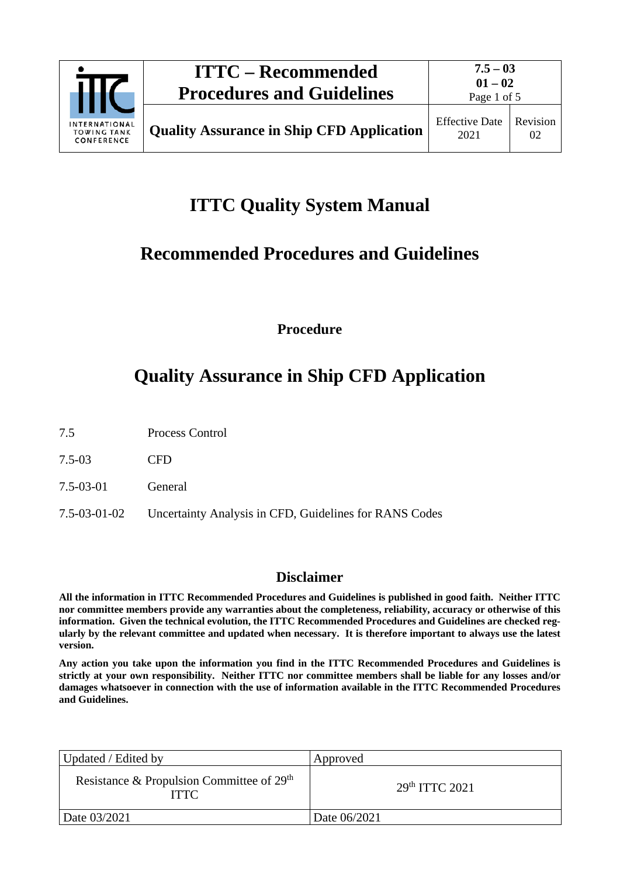

# **ITTC Quality System Manual**

# **Recommended Procedures and Guidelines**

**Procedure**

# **Quality Assurance in Ship CFD Application**

- 7.5 Process Control
- 7.5-03 CFD
- 7.5-03-01 General
- 7.5-03-01-02 Uncertainty Analysis in CFD, Guidelines for RANS Codes

## **Disclaimer**

**All the information in ITTC Recommended Procedures and Guidelines is published in good faith. Neither ITTC nor committee members provide any warranties about the completeness, reliability, accuracy or otherwise of this information. Given the technical evolution, the ITTC Recommended Procedures and Guidelines are checked regularly by the relevant committee and updated when necessary. It is therefore important to always use the latest version.**

**Any action you take upon the information you find in the ITTC Recommended Procedures and Guidelines is strictly at your own responsibility. Neither ITTC nor committee members shall be liable for any losses and/or damages whatsoever in connection with the use of information available in the ITTC Recommended Procedures and Guidelines.**

| Updated / Edited by                                                  | Approved                   |  |
|----------------------------------------------------------------------|----------------------------|--|
| Resistance & Propulsion Committee of 29 <sup>th</sup><br><b>ITTC</b> | 29 <sup>th</sup> TTTC 2021 |  |
| Date 03/2021                                                         | Date 06/2021               |  |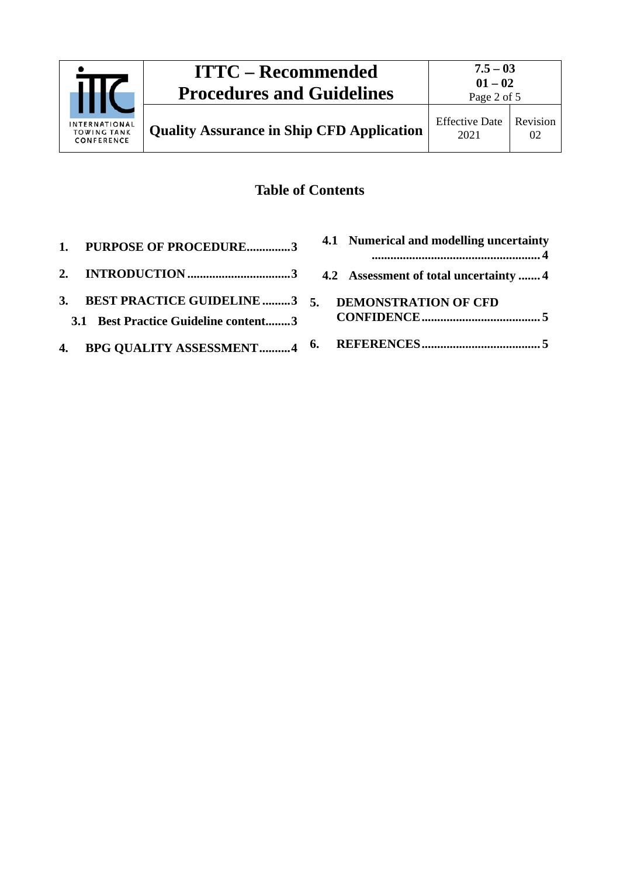

# **Table of Contents**

| 1. PURPOSE OF PROCEDURE3                                                                     | 4.1 Numerical and modelling uncertainty |
|----------------------------------------------------------------------------------------------|-----------------------------------------|
|                                                                                              |                                         |
| 3. BEST PRACTICE GUIDELINE 3 5. DEMONSTRATION OF CFD<br>3.1 Best Practice Guideline content3 |                                         |
|                                                                                              |                                         |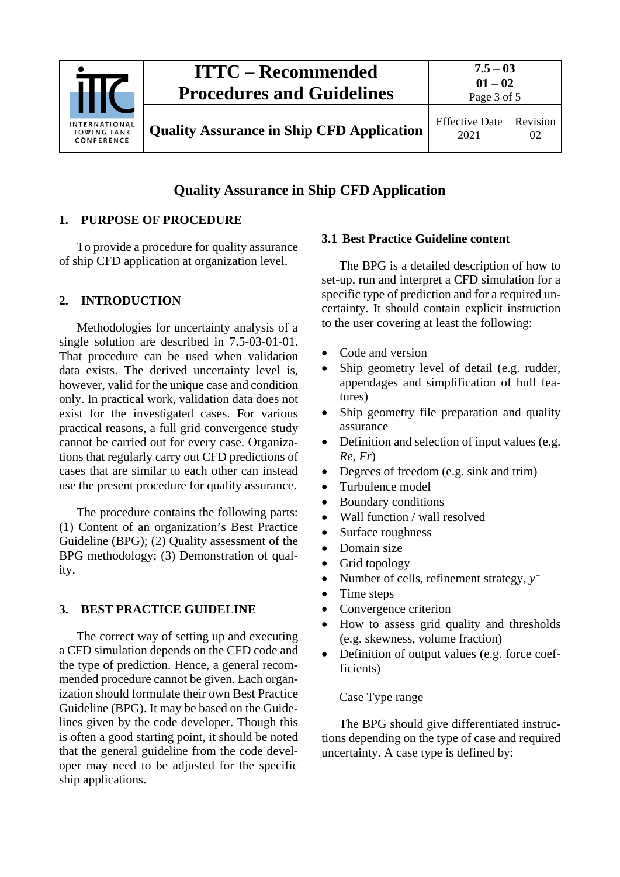

# **Quality Assurance in Ship CFD Application**

#### <span id="page-2-0"></span>**1. PURPOSE OF PROCEDURE**

To provide a procedure for quality assurance of ship CFD application at organization level.

#### <span id="page-2-1"></span>**2. INTRODUCTION**

Methodologies for uncertainty analysis of a single solution are described in 7.5-03-01-01. That procedure can be used when validation data exists. The derived uncertainty level is, however, valid for the unique case and condition only. In practical work, validation data does not exist for the investigated cases. For various practical reasons, a full grid convergence study cannot be carried out for every case. Organizations that regularly carry out CFD predictions of cases that are similar to each other can instead use the present procedure for quality assurance.

The procedure contains the following parts: (1) Content of an organization's Best Practice Guideline (BPG); (2) Quality assessment of the BPG methodology; (3) Demonstration of quality.

### <span id="page-2-2"></span>**3. BEST PRACTICE GUIDELINE**

The correct way of setting up and executing a CFD simulation depends on the CFD code and the type of prediction. Hence, a general recommended procedure cannot be given. Each organization should formulate their own Best Practice Guideline (BPG). It may be based on the Guidelines given by the code developer. Though this is often a good starting point, it should be noted that the general guideline from the code developer may need to be adjusted for the specific ship applications.

#### <span id="page-2-3"></span>**3.1 Best Practice Guideline content**

The BPG is a detailed description of how to set-up, run and interpret a CFD simulation for a specific type of prediction and for a required uncertainty. It should contain explicit instruction to the user covering at least the following:

- Code and version
- Ship geometry level of detail (e.g. rudder, appendages and simplification of hull features)
- Ship geometry file preparation and quality assurance
- Definition and selection of input values (e.g. *Re*, *Fr*)
- Degrees of freedom (e.g. sink and trim)
- Turbulence model
- Boundary conditions
- Wall function / wall resolved
- Surface roughness
- Domain size
- Grid topology
- Number of cells, refinement strategy, *y+*
- Time steps
- Convergence criterion
- How to assess grid quality and thresholds (e.g. skewness, volume fraction)
- Definition of output values (e.g. force coefficients)

#### Case Type range

The BPG should give differentiated instructions depending on the type of case and required uncertainty. A case type is defined by: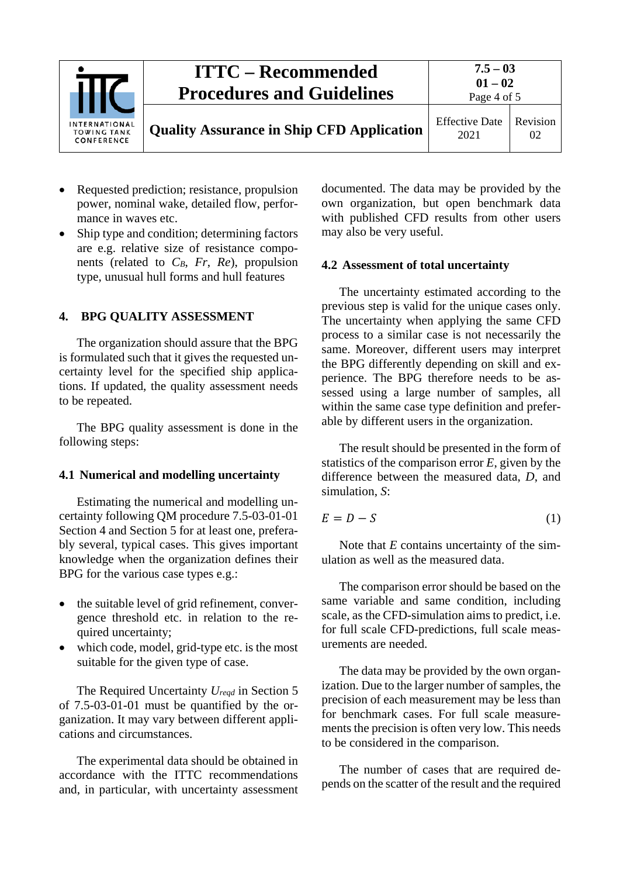

- Requested prediction; resistance, propulsion power, nominal wake, detailed flow, performance in waves etc.
- Ship type and condition; determining factors are e.g. relative size of resistance components (related to *CB*, *Fr*, *Re*), propulsion type, unusual hull forms and hull features

#### <span id="page-3-0"></span>**4. BPG QUALITY ASSESSMENT**

The organization should assure that the BPG is formulated such that it gives the requested uncertainty level for the specified ship applications. If updated, the quality assessment needs to be repeated.

The BPG quality assessment is done in the following steps:

#### <span id="page-3-1"></span>**4.1 Numerical and modelling uncertainty**

Estimating the numerical and modelling uncertainty following QM procedure 7.5-03-01-01 Section 4 and Section 5 for at least one, preferably several, typical cases. This gives important knowledge when the organization defines their BPG for the various case types e.g.:

- the suitable level of grid refinement, convergence threshold etc. in relation to the required uncertainty;
- which code, model, grid-type etc. is the most suitable for the given type of case.

The Required Uncertainty *Ureqd* in Section 5 of 7.5-03-01-01 must be quantified by the organization. It may vary between different applications and circumstances.

The experimental data should be obtained in accordance with the ITTC recommendations and, in particular, with uncertainty assessment documented. The data may be provided by the own organization, but open benchmark data with published CFD results from other users may also be very useful.

#### <span id="page-3-2"></span>**4.2 Assessment of total uncertainty**

The uncertainty estimated according to the previous step is valid for the unique cases only. The uncertainty when applying the same CFD process to a similar case is not necessarily the same. Moreover, different users may interpret the BPG differently depending on skill and experience. The BPG therefore needs to be assessed using a large number of samples, all within the same case type definition and preferable by different users in the organization.

The result should be presented in the form of statistics of the comparison error *E*, given by the difference between the measured data, *D*, and simulation, *S*:

$$
E = D - S \tag{1}
$$

Note that *E* contains uncertainty of the simulation as well as the measured data.

The comparison error should be based on the same variable and same condition, including scale, as the CFD-simulation aims to predict, i.e. for full scale CFD-predictions, full scale measurements are needed.

The data may be provided by the own organization. Due to the larger number of samples, the precision of each measurement may be less than for benchmark cases. For full scale measurements the precision is often very low. This needs to be considered in the comparison.

The number of cases that are required depends on the scatter of the result and the required